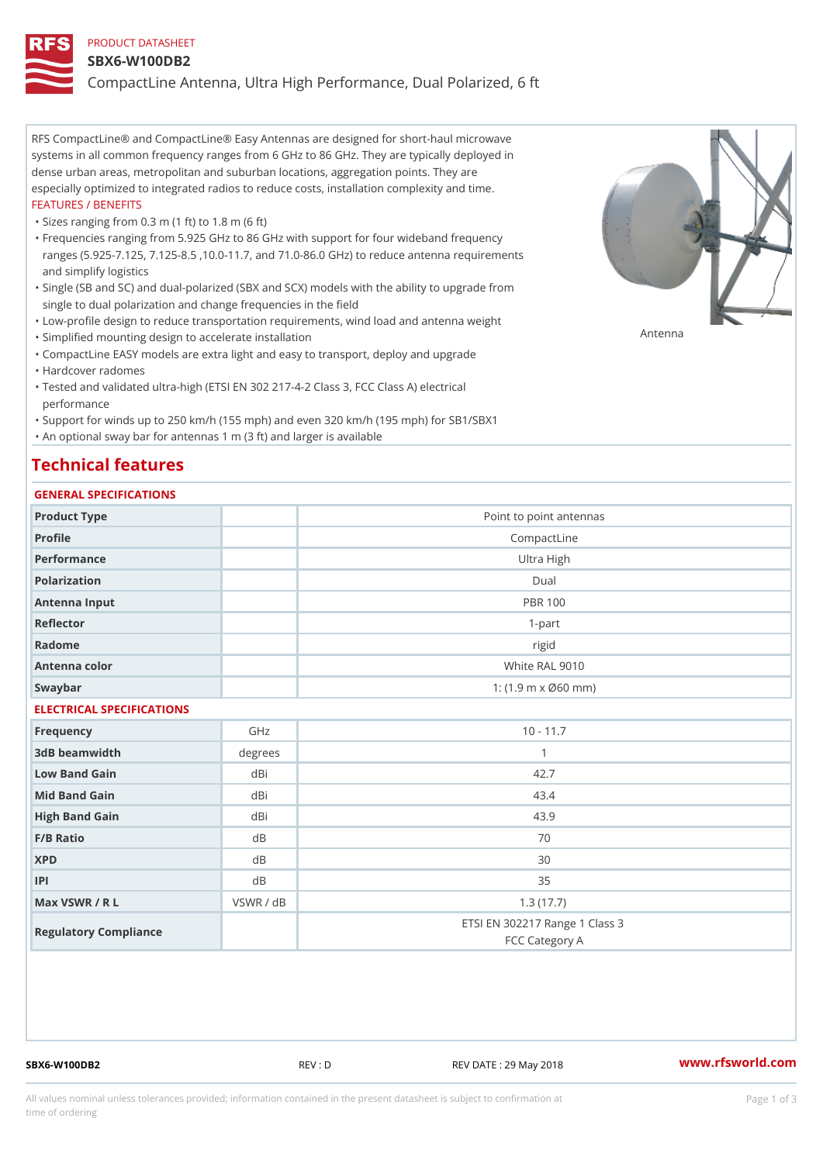#### PRODUCT DATASHEET

#### SBX6-W100DB2

CompactLine Antenna, Ultra High Performance, Dual Polarized, 6 ft

RFS CompactLine® and CompactLine® Easy Antennas are designed for short-haul microwave systems in all common frequency ranges from 6 GHz to 86 GHz. They are typically deployed in dense urban areas, metropolitan and suburban locations, aggregation points. They are especially optimized to integrated radios to reduce costs, installation complexity and time. FEATURES / BENEFITS

"Sizes ranging from 0.3 m (1 ft) to 1.8 m (6 ft)

- Frequencies ranging from 5.925 GHz to 86 GHz with support for four wideband frequency " ranges (5.925-7.125, 7.125-8.5 ,10.0-11.7, and 71.0-86.0 GHz) to reduce antenna requirements and simplify logistics
- Single (SB and SC) and dual-polarized (SBX and SCX) models with the ability to upgrade from " single to dual polarization and change frequencies in the field
- "Low-profile design to reduce transportation requirements, wind load and antenna weight
- "Simplified mounting design to accelerate installation

 "CompactLine EASY models are extra light and easy to transport, deploy and upgrade "Hardcover radomes

Tested and validated ultra-high (ETSI EN 302 217-4-2 Class 3, FCC Class A) electrical " performance

 "Support for winds up to 250 km/h (155 mph) and even 320 km/h (195 mph) for SB1/SBX1 "An optional sway bar for antennas 1 m (3 ft) and larger is available

# Technical features

## GENERAL SPECIFICATIONS

| GENERAL SPECIFICATIONS    |                |                                                         |  |  |
|---------------------------|----------------|---------------------------------------------------------|--|--|
| Product Type              |                | Point to point antennas                                 |  |  |
| Profile                   |                | CompactLine                                             |  |  |
| Performance               |                | Ultra High                                              |  |  |
| Polarization              |                | $D$ ual                                                 |  |  |
| Antenna Input             |                | <b>PBR 100</b>                                          |  |  |
| Reflector                 |                | $1 - p$ art                                             |  |  |
| Radome                    |                | rigid                                                   |  |  |
| Antenna color             |                | White RAL 9010                                          |  |  |
| Swaybar                   |                | 1: $(1.9 \, \text{m} \times \emptyset 60 \, \text{mm})$ |  |  |
| ELECTRICAL SPECIFICATIONS |                |                                                         |  |  |
| Frequency                 | GHz            | $10 - 11.7$                                             |  |  |
| 3dB beamwidth             | degrees        | $\mathbf{1}$                                            |  |  |
| Low Band Gain             | dBi            | 42.7                                                    |  |  |
| Mid Band Gain             | dBi            | 43.4                                                    |  |  |
| High Band Gain            | dBi            | 43.9                                                    |  |  |
| F/B Ratio                 | d <sub>B</sub> | 70                                                      |  |  |
| <b>XPD</b>                | d B            | 30                                                      |  |  |
| P                         | d B            | 35                                                      |  |  |
| Max VSWR / R L            | VSWR / dB      | 1.3(17.7)                                               |  |  |
| Regulatory Compliance     |                | ETSI EN 302217 Range 1 Class 3<br>FCC Category A        |  |  |

SBX6-W100DB2 REV : D REV DATE : 29 May 2018 [www.](https://www.rfsworld.com)rfsworld.com

Antenna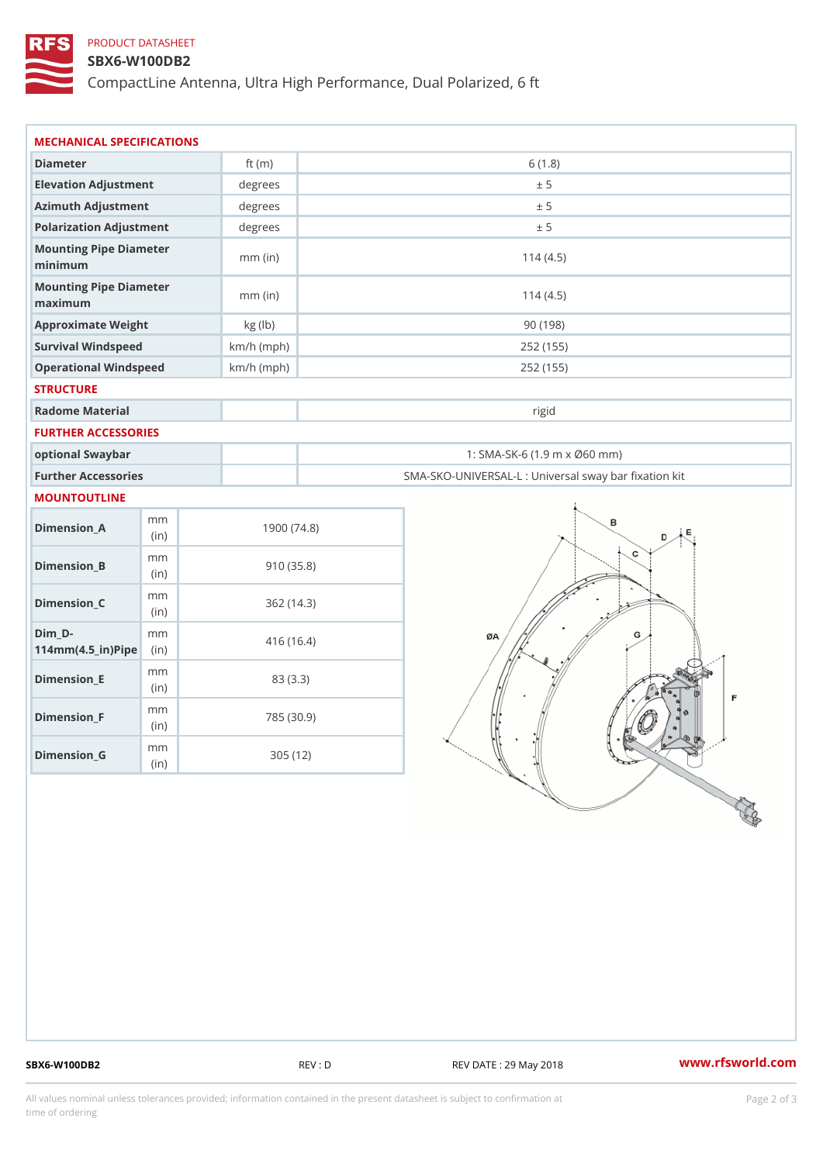## PRODUCT DATASHEET

### SBX6-W100DB2

CompactLine Antenna, Ultra High Performance, Dual Polarized, 6 ft

| MECHANICAL SPECIFICATIONS                                                      |              |                                                   |
|--------------------------------------------------------------------------------|--------------|---------------------------------------------------|
| Diameter                                                                       | ft $(m)$     | 6(1.8)                                            |
| Elevation Adjustment                                                           | degrees      | ± 5                                               |
| Azimuth Adjustment                                                             | degrees      | ± 5                                               |
| Polarization Adjustment                                                        | degrees      | ± 5                                               |
| Mounting Pipe Diameter<br>minimum                                              | $mm$ (in)    | 114(4.5)                                          |
| Mounting Pipe Diameter<br>maximum                                              | $mm$ (in)    | 114(4.5)                                          |
| Approximate Weight                                                             | kg (lb)      | 90(198)                                           |
| Survival Windspeed                                                             | $km/h$ (mph) | 252 (155)                                         |
| Operational Windspeed                                                          | $km/h$ (mph) | 252 (155)                                         |
| <b>STRUCTURE</b>                                                               |              |                                                   |
| Radome Material                                                                |              | rigid                                             |
| FURTHER ACCESSORIES                                                            |              |                                                   |
| optional Swaybar                                                               |              | 1: SMA-SK-6 (1.9 m x Ø60 mm)                      |
| Further Accessories                                                            |              | SMA-SKO-UNIVERSAL-L : Universal sway bar fixation |
| MOUNTOUTLINE                                                                   |              |                                                   |
| m m<br>$Dimen sion_A$<br>(in)                                                  | 1900(74.8)   |                                                   |
| m m<br>$Dimension_B$<br>(in)                                                   | 910(35.8)    |                                                   |
| m m<br>$Dimenision_C$<br>(in)                                                  | 362(14.3)    |                                                   |
| $Dim_D - D -$<br>m m<br>$114$ m m (4.5 _ ir ) $\sqrt{$ ii p $\sqrt{$ $\approx$ | 416 (16.4)   |                                                   |
| m m<br>$Dimension$ $E$<br>(in)                                                 | 83 (3.3)     |                                                   |
| m m<br>$Dimension_F$<br>(in)                                                   | 785 (30.9)   |                                                   |
| m m<br>$D$ imension_G                                                          | 305 (12)     |                                                   |

SBX6-W100DB2 REV : D REV DATE : 29 May 2018 WWW.rfsworld.com